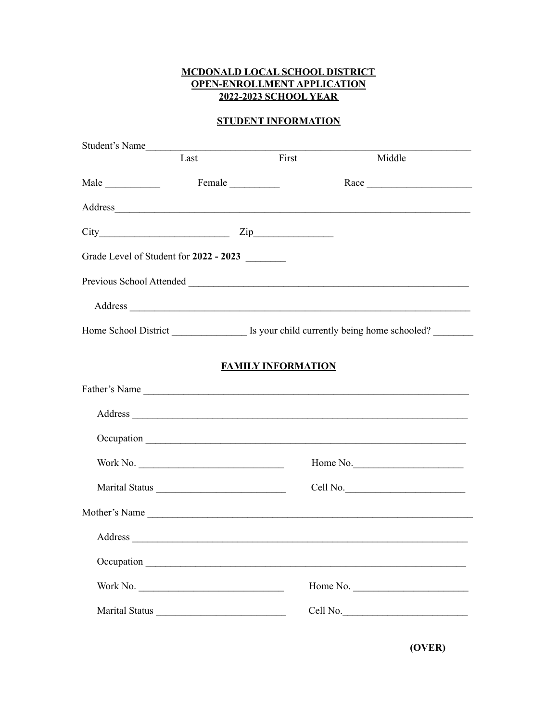## MCDONALD LOCAL SCHOOL DISTRICT **OPEN-ENROLLMENT APPLICATION 2022-2023 SCHOOL YEAR**

## **STUDENT INFORMATION**

| Student's Name                                                                                      |      |                           |                                                                                                                                                                                                                                |  |
|-----------------------------------------------------------------------------------------------------|------|---------------------------|--------------------------------------------------------------------------------------------------------------------------------------------------------------------------------------------------------------------------------|--|
|                                                                                                     | Last | First                     | Middle                                                                                                                                                                                                                         |  |
| Male                                                                                                |      |                           |                                                                                                                                                                                                                                |  |
|                                                                                                     |      |                           |                                                                                                                                                                                                                                |  |
| $City$ $Zip$                                                                                        |      |                           |                                                                                                                                                                                                                                |  |
| Grade Level of Student for 2022 - 2023                                                              |      |                           |                                                                                                                                                                                                                                |  |
|                                                                                                     |      |                           |                                                                                                                                                                                                                                |  |
|                                                                                                     |      |                           |                                                                                                                                                                                                                                |  |
| Home School District ______________________ Is your child currently being home schooled? __________ |      |                           |                                                                                                                                                                                                                                |  |
|                                                                                                     |      | <b>FAMILY INFORMATION</b> |                                                                                                                                                                                                                                |  |
|                                                                                                     |      |                           | Father's Name                                                                                                                                                                                                                  |  |
|                                                                                                     |      |                           | Address and the contract of the contract of the contract of the contract of the contract of the contract of the contract of the contract of the contract of the contract of the contract of the contract of the contract of th |  |
|                                                                                                     |      |                           |                                                                                                                                                                                                                                |  |
|                                                                                                     |      |                           | Home No.                                                                                                                                                                                                                       |  |
| Marital Status                                                                                      |      |                           | Cell No.                                                                                                                                                                                                                       |  |
|                                                                                                     |      |                           | Mother's Name                                                                                                                                                                                                                  |  |
|                                                                                                     |      |                           |                                                                                                                                                                                                                                |  |
|                                                                                                     |      |                           |                                                                                                                                                                                                                                |  |
|                                                                                                     |      |                           | Home No. $\qquad \qquad$                                                                                                                                                                                                       |  |
|                                                                                                     |      |                           | Cell No.                                                                                                                                                                                                                       |  |

 $(OVER)$